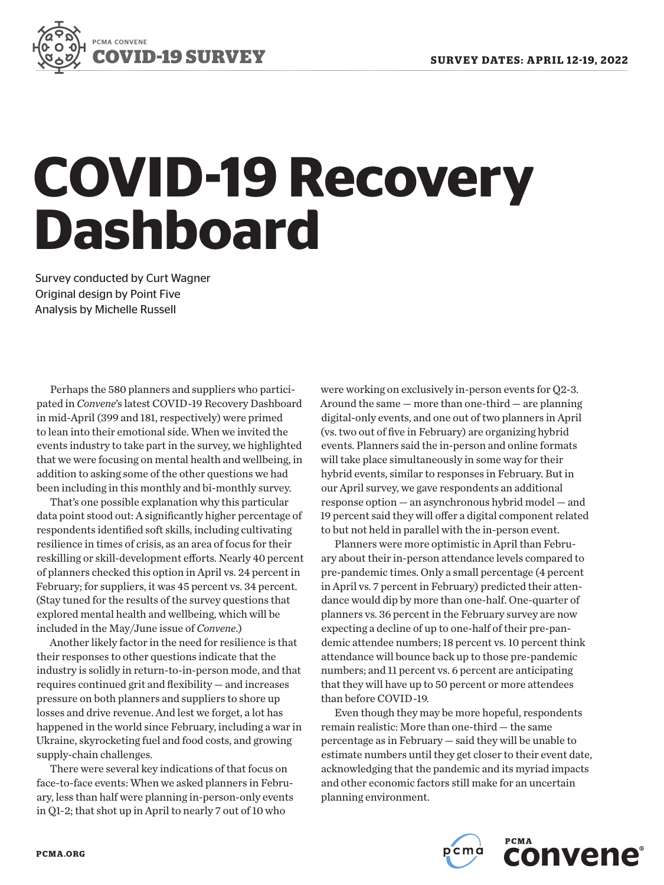

# **COVID-19 Recovery Dashboard**

Survey conducted by Curt Wagner Original design by Point Five Analysis by Michelle Russell

Perhaps the 580 planners and suppliers who participated in *Convene*'s latest COVID-19 Recovery Dashboard in mid-April (399 and 181, respectively) were primed to lean into their emotional side. When we invited the events industry to take part in the survey, we highlighted that we were focusing on mental health and wellbeing, in addition to asking some of the other questions we had been including in this monthly and bi-monthly survey.

That's one possible explanation why this particular data point stood out: A significantly higher percentage of respondents identified soft skills, including cultivating resilience in times of crisis, as an area of focus for their reskilling or skill-development efforts. Nearly 40 percent of planners checked this option in April vs. 24 percent in February; for suppliers, it was 45 percent vs. 34 percent. (Stay tuned for the results of the survey questions that explored mental health and wellbeing, which will be included in the May/June issue of *Convene*.)

Another likely factor in the need for resilience is that their responses to other questions indicate that the industry is solidly in return-to-in-person mode, and that requires continued grit and flexibility — and increases pressure on both planners and suppliers to shore up losses and drive revenue. And lest we forget, a lot has happened in the world since February, including a war in Ukraine, skyrocketing fuel and food costs, and growing supply-chain challenges.

There were several key indications of that focus on face-to-face events: When we asked planners in February, less than half were planning in-person-only events in Q1-2; that shot up in April to nearly 7 out of 10 who

were working on exclusively in-person events for Q2-3. Around the same — more than one-third — are planning digital-only events, and one out of two planners in April (vs. two out of five in February) are organizing hybrid events. Planners said the in-person and online formats will take place simultaneously in some way for their hybrid events, similar to responses in February. But in our April survey, we gave respondents an additional response option — an asynchronous hybrid model — and 19 percent said they will offer a digital component related to but not held in parallel with the in-person event.

Planners were more optimistic in April than February about their in-person attendance levels compared to pre-pandemic times. Only a small percentage (4 percent in April vs. 7 percent in February) predicted their attendance would dip by more than one-half. One-quarter of planners vs. 36 percent in the February survey are now expecting a decline of up to one-half of their pre-pandemic attendee numbers; 18 percent vs. 10 percent think attendance will bounce back up to those pre-pandemic numbers; and 11 percent vs. 6 percent are anticipating that they will have up to 50 percent or more attendees than before COVID-19.

Even though they may be more hopeful, respondents remain realistic: More than one-third — the same percentage as in February — said they will be unable to estimate numbers until they get closer to their event date, acknowledging that the pandemic and its myriad impacts and other economic factors still make for an uncertain planning environment.



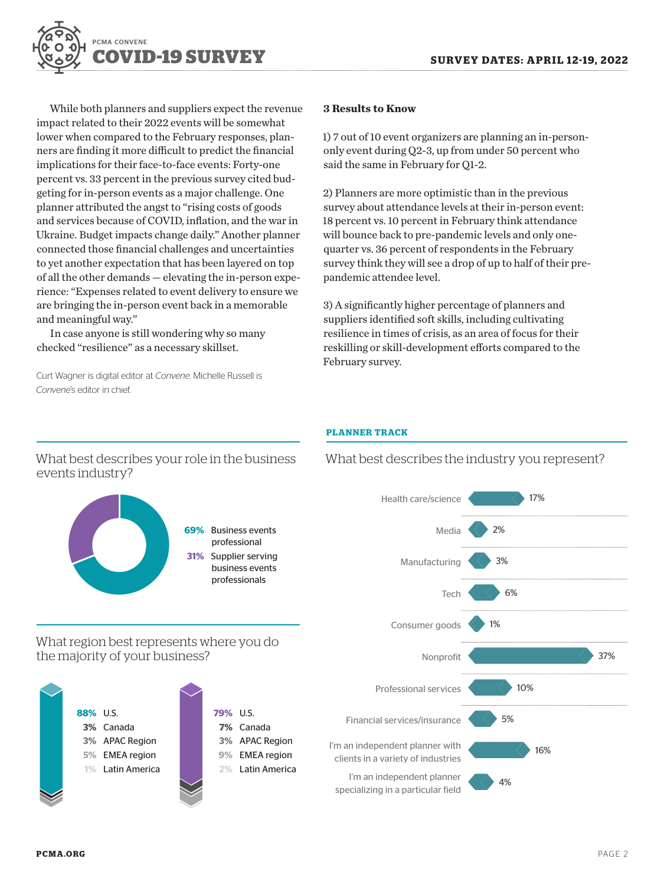

While both planners and suppliers expect the revenue impact related to their 2022 events will be somewhat lower when compared to the February responses, planners are finding it more difficult to predict the financial implications for their face-to-face events: Forty-one percent vs. 33 percent in the previous survey cited budgeting for in-person events as a major challenge. One planner attributed the angst to "rising costs of goods and services because of COVID, inflation, and the war in Ukraine. Budget impacts change daily." Another planner connected those financial challenges and uncertainties to yet another expectation that has been layered on top of all the other demands — elevating the in-person experience: "Expenses related to event delivery to ensure we are bringing the in-person event back in a memorable and meaningful way."

In case anyone is still wondering why so many checked "resilience" as a necessary skillset.

Curt Wagner is digital editor at *Convene*. Michelle Russell is *Convene*'s editor in chief.

#### **3 Results to Know**

1) 7 out of 10 event organizers are planning an in-persononly event during Q2-3, up from under 50 percent who said the same in February for Q1-2.

2) Planners are more optimistic than in the previous survey about attendance levels at their in-person event: 18 percent vs. 10 percent in February think attendance will bounce back to pre-pandemic levels and only onequarter vs. 36 percent of respondents in the February survey think they will see a drop of up to half of their prepandemic attendee level.

3) A significantly higher percentage of planners and suppliers identified soft skills, including cultivating resilience in times of crisis, as an area of focus for their reskilling or skill-development efforts compared to the February survey.

#### **PLANNER TRACK**



What best describes your role in the business events industry?

What best describes the industry you represent?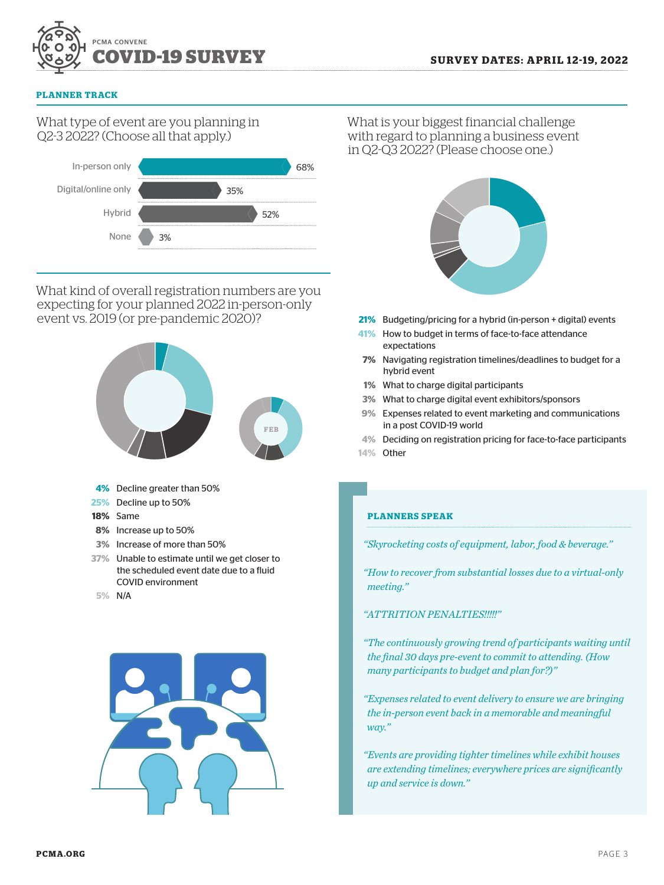

#### **PLANNER TRACK**

## What type of event are you planning in Q2-3 2022? (Choose all that apply.)



What kind of overall registration numbers are you expecting for your planned 2022 in-person-only event vs. 2019 (or pre-pandemic 2020)?



- **3%** Increase of more than 50%
- **37%** Unable to estimate until we get closer to the scheduled event date due to a fluid COVID environment

**5%** N/A



What is your biggest financial challenge with regard to planning a business event in Q2-Q3 2022? (Please choose one.)



- **21%** Budgeting/pricing for a hybrid (in-person + digital) events
- **41%** How to budget in terms of face-to-face attendance expectations
- **7%** Navigating registration timelines/deadlines to budget for a hybrid event
- **1%** What to charge digital participants
- **3%** What to charge digital event exhibitors/sponsors
- **9%** Expenses related to event marketing and communications in a post COVID-19 world
- **4%** Deciding on registration pricing for face-to-face participants **14%** Other

#### **PLANNERS SPEAK**

*"Skyrocketing costs of equipment, labor, food & beverage."* 

*"How to recover from substantial losses due to a virtual-only meeting."*

### *"ATTRITION PENALTIES!!!!!"*

- *"The continuously growing trend of participants waiting until the final 30 days pre-event to commit to attending. (How many participants to budget and plan for?)"*
- *"Expenses related to event delivery to ensure we are bringing the in-person event back in a memorable and meaningful way."*
- *"Events are providing tighter timelines while exhibit houses are extending timelines; everywhere prices are significantly up and service is down."*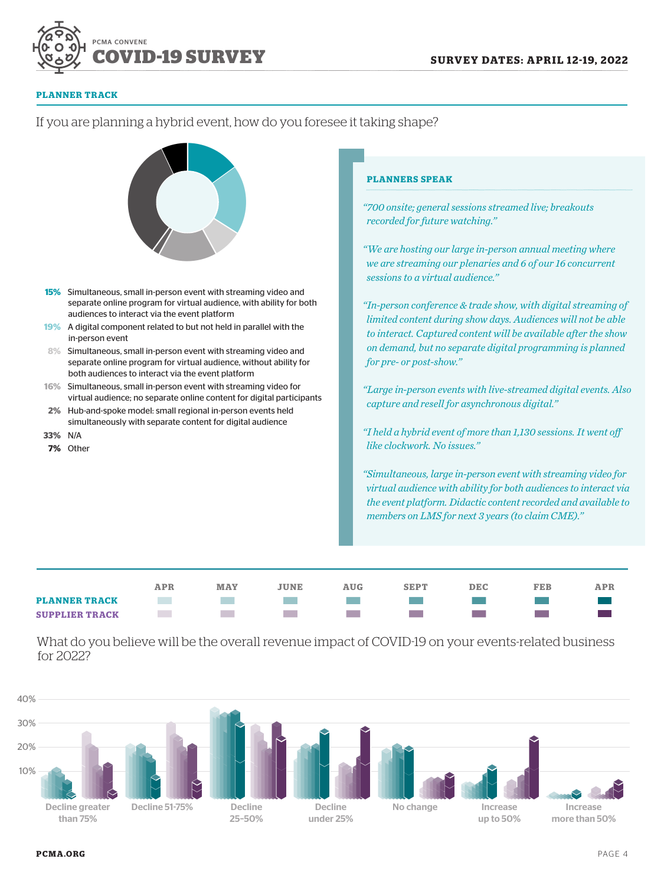

#### **PLANNER TRACK**

#### **PLANNERS SPEAK** "700 onsite; general sessions streamed live; breakouts recorded for future watching." "We are hosting our large in-person annual meeting where we are streaming our plenaries and 6 of our 16 concurrent sessions to a virtual audience." 15% Simultaneous, small in-person event with streaming video and separate online program for virtual audience, with ability for both "In-person conference & trade show, with digital streaming of audiences to interact via the event platform limited content during show days. Audiences will not be able 19% A digital component related to but not held in parallel with the to interact. Captured content will be available after the show in-person event on demand, but no separate digital programming is planned  $8%$ Simultaneous, small in-person event with streaming video and for pre- or post-show." separate online program for virtual audience, without ability for both audiences to interact via the event platform 16% Simultaneous, small in-person event with streaming video for "Large in-person events with live-streamed digital events. Also virtual audience; no separate online content for digital participants capture and resell for asynchronous digital."  $2%$ Hub-and-spoke model: small regional in-person events held simultaneously with separate content for digital audience "I held a hybrid event of more than 1,130 sessions. It went off 33% N/A like clockwork. No issues." 7% Other "Simultaneous, large in-person event with streaming video for virtual audience with ability for both audiences to interact via the event platform. Didactic content recorded and available to members on LMS for next 3 years (to claim CME)." **APR MAY JUNE AUG SEPT DEC** FEB APR **PLANNER TRACK College College Contract The Co The Co SUPPLIER TRACK College**  $\sim$ **College COL The Co**

What do you believe will be the overall revenue impact of COVID-19 on your events-related business for 2022?



# If you are planning a hybrid event, how do you foresee it taking shape?